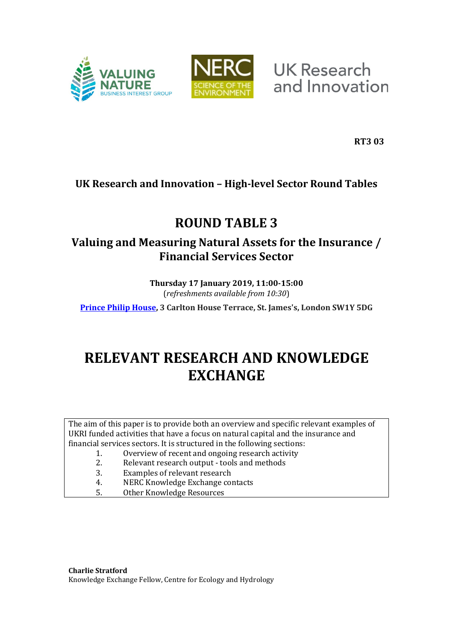



**UK Research** and Innovation

**RT3 03**

# **UK Research and Innovation – High-level Sector Round Tables**

# **ROUND TABLE 3**

# **Valuing and Measuring Natural Assets for the Insurance / Financial Services Sector**

**Thursday 17 January 2019, 11:00-15:00** (*refreshments available from 10:30*)

**[Prince Philip House,](http://www.princephiliphouse.com/) 3 Carlton House Terrace, St. James's, London SW1Y 5DG**

# **RELEVANT RESEARCH AND KNOWLEDGE EXCHANGE**

The aim of this paper is to provide both an overview and specific relevant examples of UKRI funded activities that have a focus on natural capital and the insurance and financial services sectors. It is structured in the following sections:

- 1. Overview of recent and ongoing research activity<br>2. Relevant research output tools and methods
- 2. Relevant research output tools and methods<br>3. Examples of relevant research
- 3. Examples of relevant research<br>4. NERC Knowledge Exchange co
- 4. NERC Knowledge Exchange contacts<br>5. Other Knowledge Resources
- 5. Other Knowledge Resources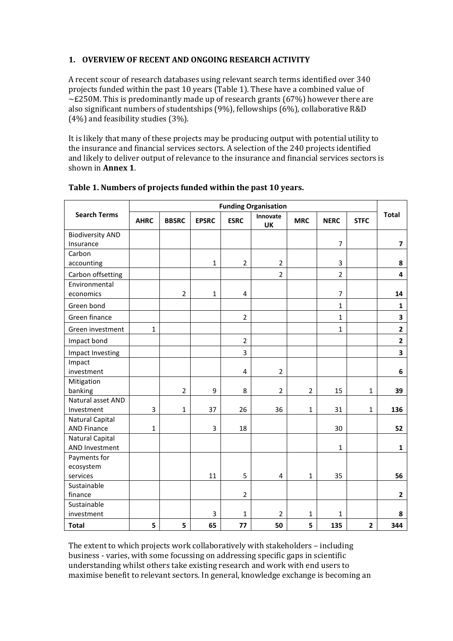# **1. OVERVIEW OF RECENT AND ONGOING RESEARCH ACTIVITY**

A recent scour of research databases using relevant search terms identified over 340 projects funded within the past 10 years [\(Table 1\)](#page-1-0). These have a combined value of  $\sim$ £250M. This is predominantly made up of research grants (67%) however there are also significant numbers of studentships (9%), fellowships (6%), collaborative R&D (4%) and feasibility studies (3%).

It is likely that many of these projects may be producing output with potential utility to the insurance and financial services sectors. A selection of the 240 projects identified and likely to deliver output of relevance to the insurance and financial services sectors is shown in **Annex 1**.

|                                          | <b>Funding Organisation</b> |                |                |                         |                         |                |                |              |                         |  |  |
|------------------------------------------|-----------------------------|----------------|----------------|-------------------------|-------------------------|----------------|----------------|--------------|-------------------------|--|--|
| <b>Search Terms</b>                      | <b>AHRC</b>                 | <b>BBSRC</b>   | <b>EPSRC</b>   | <b>ESRC</b>             | Innovate<br><b>UK</b>   | <b>MRC</b>     | <b>NERC</b>    | <b>STFC</b>  | <b>Total</b>            |  |  |
| <b>Biodiversity AND</b>                  |                             |                |                |                         |                         |                |                |              |                         |  |  |
| Insurance                                |                             |                |                |                         |                         |                | $\overline{7}$ |              | $\overline{\mathbf{z}}$ |  |  |
| Carbon                                   |                             |                |                |                         |                         |                |                |              |                         |  |  |
| accounting                               |                             |                | $\mathbf 1$    | $\mathbf 2$             | $\overline{2}$          |                | 3              |              | 8                       |  |  |
| Carbon offsetting                        |                             |                |                |                         | $\overline{2}$          |                | $\overline{2}$ |              | 4                       |  |  |
| Environmental                            |                             |                |                |                         |                         |                |                |              |                         |  |  |
| economics                                |                             | $\overline{2}$ | $\mathbf 1$    | 4                       |                         |                | $\overline{7}$ |              | 14                      |  |  |
| Green bond                               |                             |                |                |                         |                         |                | $\mathbf{1}$   |              | $\mathbf 1$             |  |  |
| Green finance                            |                             |                |                | $\overline{2}$          |                         |                | $\mathbf{1}$   |              | $\overline{\mathbf{3}}$ |  |  |
| Green investment                         | $\mathbf 1$                 |                |                |                         |                         |                | $\mathbf{1}$   |              | $\overline{2}$          |  |  |
| Impact bond                              |                             |                |                | $\overline{2}$          |                         |                |                |              | $\overline{\mathbf{c}}$ |  |  |
| Impact Investing                         |                             |                |                | 3                       |                         |                |                |              | $\overline{\mathbf{3}}$ |  |  |
| Impact                                   |                             |                |                |                         |                         |                |                |              |                         |  |  |
| investment                               |                             |                |                | $\overline{\mathbf{4}}$ | $\overline{2}$          |                |                |              | 6                       |  |  |
| Mitigation                               |                             |                |                |                         |                         |                |                |              |                         |  |  |
| banking                                  |                             | $\overline{2}$ | 9              | 8                       | $\overline{2}$          | $\overline{2}$ | 15             | $\mathbf{1}$ | 39                      |  |  |
| Natural asset AND                        |                             |                |                |                         |                         |                |                |              |                         |  |  |
| Investment                               | 3                           | $\mathbf{1}$   | 37             | 26                      | 36                      | $\mathbf{1}$   | 31             | 1            | 136                     |  |  |
| <b>Natural Capital</b>                   |                             |                |                |                         |                         |                |                |              |                         |  |  |
| <b>AND Finance</b>                       | 1                           |                | 3              | 18                      |                         |                | 30             |              | 52                      |  |  |
| Natural Capital<br><b>AND Investment</b> |                             |                |                |                         |                         |                | $\mathbf{1}$   |              | $\mathbf{1}$            |  |  |
| Payments for                             |                             |                |                |                         |                         |                |                |              |                         |  |  |
| ecosystem                                |                             |                |                |                         |                         |                |                |              |                         |  |  |
| services                                 |                             |                | 11             | 5                       | $\overline{\mathbf{4}}$ | $\mathbf 1$    | 35             |              | 56                      |  |  |
| Sustainable                              |                             |                |                |                         |                         |                |                |              |                         |  |  |
| finance                                  |                             |                |                | $\overline{2}$          |                         |                |                |              | $\mathbf{2}$            |  |  |
| Sustainable                              |                             |                |                |                         |                         |                |                |              |                         |  |  |
| investment                               |                             |                | $\overline{3}$ | $\mathbf{1}$            | $\overline{2}$          | 1              | $\mathbf{1}$   |              | 8                       |  |  |
| <b>Total</b>                             | 5                           | 5              | 65             | 77                      | 50                      | 5              | 135            | $\mathbf{2}$ | 344                     |  |  |

<span id="page-1-0"></span>

| Table 1. Numbers of projects funded within the past 10 years. |  |  |
|---------------------------------------------------------------|--|--|
|---------------------------------------------------------------|--|--|

The extent to which projects work collaboratively with stakeholders – including business - varies, with some focussing on addressing specific gaps in scientific understanding whilst others take existing research and work with end users to maximise benefit to relevant sectors. In general, knowledge exchange is becoming an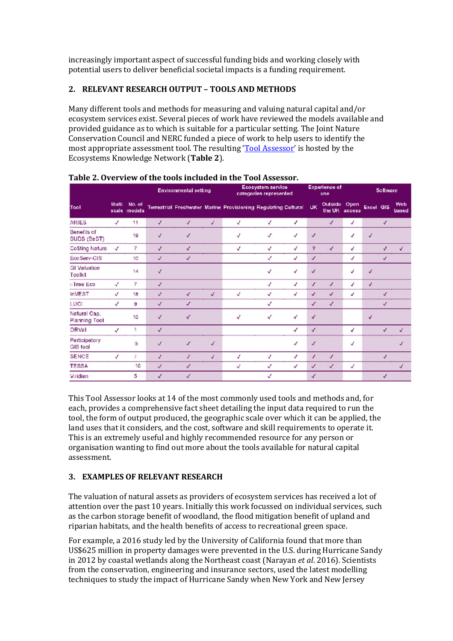increasingly important aspect of successful funding bids and working closely with potential users to deliver beneficial societal impacts is a funding requirement.

# **2. RELEVANT RESEARCH OUTPUT – TOOLS AND METHODS**

Many different tools and methods for measuring and valuing natural capital and/or ecosystem services exist. Several pieces of work have reviewed the models available and provided guidance as to which is suitable for a particular setting. The Joint Nature Conservation Council and NERC funded a piece of work to help users to identify the most appropriate assessment tool. The resulting ['Tool Assessor'](https://ecosystemsknowledge.net/resources/guidance-and-tools/tools/tool-assessor) is hosted by the Ecosystems Knowledge Network (**Table 2**).

|                                      |                       |                  | <b>Environmental setting</b> |              |              | Ecosystem service<br>categories represented                    |   |              | <b>Experience of</b><br>use |                   |                | <b>Software</b>  |              |                |
|--------------------------------------|-----------------------|------------------|------------------------------|--------------|--------------|----------------------------------------------------------------|---|--------------|-----------------------------|-------------------|----------------|------------------|--------------|----------------|
| Tool                                 | <b>Multi</b><br>scale | No. of<br>models |                              |              |              | Terrestrial Freshwater Marine Provisioning Regulating Cultural |   |              | <b>UK</b>                   | Outside<br>the UK | Open<br>access | <b>Excel GIS</b> |              | Web<br>based   |
| <b>ARIES</b>                         | $\checkmark$          | 11               | $\checkmark$                 | $\checkmark$ | √            | $\checkmark$                                                   | √ | √            |                             | $\checkmark$      | √              |                  | $\checkmark$ |                |
| Benefits of<br>SUDS (BeST)           |                       | 19               | √                            | $\checkmark$ |              | √                                                              | √ | √            | $\checkmark$                |                   | √              | √                |              |                |
| <b>CoSting Nature</b>                | √                     | 7                | $\checkmark$                 | $\checkmark$ |              | $\checkmark$                                                   | √ | √            | ?                           | √                 | ✓              |                  | √            | √              |
| EcoServ-GIS                          |                       | 10               | $\checkmark$                 | √            |              |                                                                | √ | √            | $\checkmark$                |                   | V              |                  | $\checkmark$ |                |
| <b>GI Valuation</b><br>Toolkit       |                       | 14               | $\checkmark$                 |              |              |                                                                | √ | $\checkmark$ | $\checkmark$                |                   | √              | $\checkmark$     |              |                |
| i-Tree Eco                           | √                     | 7                | $\checkmark$                 |              |              |                                                                | √ | $\checkmark$ | √                           | $\checkmark$      | √              | $\checkmark$     |              |                |
| <b>InVEST</b>                        | $\checkmark$          | 18               | $\checkmark$                 | $\checkmark$ | $\checkmark$ | $\checkmark$                                                   | √ | √            | $\checkmark$                | $\checkmark$      | √              |                  | $\checkmark$ |                |
| LUCI                                 | √                     | 9                | √                            | $\checkmark$ |              |                                                                | √ |              | √                           | √                 |                |                  | $\checkmark$ |                |
| Natural Cap.<br><b>Planning Tool</b> |                       | 10               | $\checkmark$                 | V            |              | √                                                              | √ | √            | $\checkmark$                |                   |                | $\checkmark$     |              |                |
| ORVal                                | $\checkmark$          | 1                | $\checkmark$                 |              |              |                                                                |   | √            | $\checkmark$                |                   | √              |                  |              | √              |
| Participatory<br>GIS tool            |                       | 5                | $\overline{a}$               | $\checkmark$ | $\checkmark$ |                                                                |   | √            | √                           |                   | √              |                  |              | $\overline{J}$ |
| <b>SENCE</b>                         | √                     |                  | $\checkmark$                 | J            | √            | √                                                              | √ | √            | √                           | $\checkmark$      |                |                  | √            |                |
| <b>TESSA</b>                         |                       | 10               | $\sqrt{2}$                   | $\sqrt{}$    |              | √                                                              | √ | √            | √                           | √                 | √              |                  |              | $\checkmark$   |
| Viridian                             |                       | 5                | √                            | $\checkmark$ |              |                                                                | √ |              | √                           |                   |                |                  | √            |                |

#### **Table 2. Overview of the tools included in the Tool Assessor.**

This Tool Assessor looks at 14 of the most commonly used tools and methods and, for each, provides a comprehensive fact sheet detailing the input data required to run the tool, the form of output produced, the geographic scale over which it can be applied, the land uses that it considers, and the cost, software and skill requirements to operate it. This is an extremely useful and highly recommended resource for any person or organisation wanting to find out more about the tools available for natural capital assessment.

## **3. EXAMPLES OF RELEVANT RESEARCH**

The valuation of natural assets as providers of ecosystem services has received a lot of attention over the past 10 years. Initially this work focussed on individual services, such as the carbon storage benefit of woodland, the flood mitigation benefit of upland and riparian habitats, and the health benefits of access to recreational green space.

For example, a 2016 study led by the University of California found that more than US\$625 million in property damages were prevented in the U.S. during Hurricane Sandy in 2012 by coastal wetlands along the Northeast coast (Narayan *et al*. 2016). Scientists from the conservation, engineering and insurance sectors, used the latest modelling techniques to study the impact of Hurricane Sandy when New York and New Jersey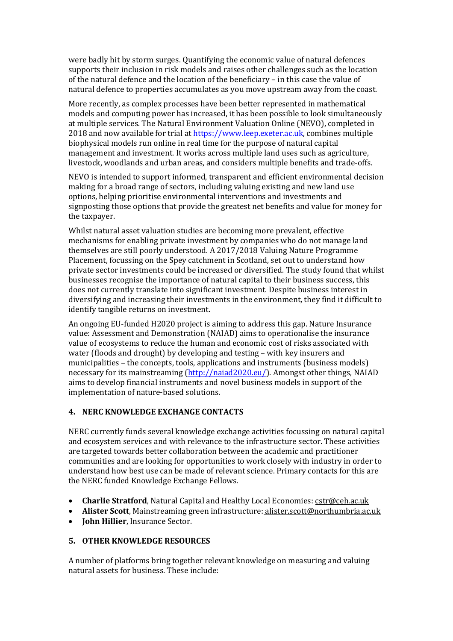were badly hit by storm surges. Quantifying the economic value of natural defences supports their inclusion in risk models and raises other challenges such as the location of the natural defence and the location of the beneficiary – in this case the value of natural defence to properties accumulates as you move upstream away from the coast.

More recently, as complex processes have been better represented in mathematical models and computing power has increased, it has been possible to look simultaneously at multiple services. The Natural Environment Valuation Online (NEVO), completed in 2018 and now available for trial at [https://www.leep.exeter.ac.uk,](https://www.leep.exeter.ac.uk/) combines multiple biophysical models run online in real time for the purpose of natural capital management and investment. It works across multiple land uses such as agriculture, livestock, woodlands and urban areas, and considers multiple benefits and trade-offs.

NEVO is intended to support informed, transparent and efficient environmental decision making for a broad range of sectors, including valuing existing and new land use options, helping prioritise environmental interventions and investments and signposting those options that provide the greatest net benefits and value for money for the taxpayer.

Whilst natural asset valuation studies are becoming more prevalent, effective mechanisms for enabling private investment by companies who do not manage land themselves are still poorly understood. A 2017/2018 Valuing Nature Programme Placement, focussing on the Spey catchment in Scotland, set out to understand how private sector investments could be increased or diversified. The study found that whilst businesses recognise the importance of natural capital to their business success, this does not currently translate into significant investment. Despite business interest in diversifying and increasing their investments in the environment, they find it difficult to identify tangible returns on investment.

An ongoing EU-funded H2020 project is aiming to address this gap. Nature Insurance value: Assessment and Demonstration (NAIAD) aims to operationalise the insurance value of ecosystems to reduce the human and economic cost of risks associated with water (floods and drought) by developing and testing – with key insurers and municipalities – the concepts, tools, applications and instruments (business models) necessary for its mainstreaming [\(http://naiad2020.eu/\)](http://naiad2020.eu/). Amongst other things, NAIAD aims to develop financial instruments and novel business models in support of the implementation of nature-based solutions.

## **4. NERC KNOWLEDGE EXCHANGE CONTACTS**

NERC currently funds several knowledge exchange activities focussing on natural capital and ecosystem services and with relevance to the infrastructure sector. These activities are targeted towards better collaboration between the academic and practitioner communities and are looking for opportunities to work closely with industry in order to understand how best use can be made of relevant science. Primary contacts for this are the NERC funded Knowledge Exchange Fellows.

- **Charlie Stratford**, Natural Capital and Healthy Local Economies: [cstr@ceh.ac.uk](mailto:cstr@ceh.ac.uk)
- **Alister Scott**, Mainstreaming green infrastructure: alister.scott@northumbria.ac.uk
- **John Hillier**, Insurance Sector.

## **5. OTHER KNOWLEDGE RESOURCES**

A number of platforms bring together relevant knowledge on measuring and valuing natural assets for business. These include: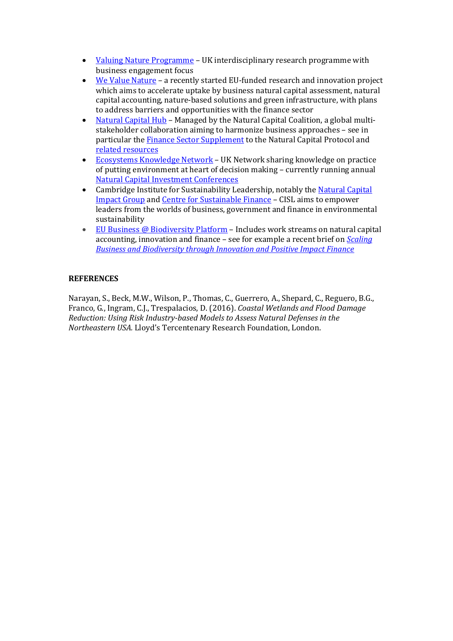- [Valuing Nature Programme](http://valuing-nature.net/) UK interdisciplinary research programme with business engagement focus
- [We Value Nature](https://wevaluenature.eu/) a recently started EU-funded research and innovation project which aims to accelerate uptake by business natural capital assessment, natural capital accounting, nature-based solutions and green infrastructure, with plans to address barriers and opportunities with the finance sector
- [Natural Capital Hub](https://naturalcapitalcoalition.org/hub/) Managed by the Natural Capital Coalition, a global multistakeholder collaboration aiming to harmonize business approaches – see in particular the **Finance Sector Supplement** to the Natural Capital Protocol and [related resources](https://naturalcapitalcoalition.org/tag/finance-sector-supplement/)
- [Ecosystems Knowledge Network](https://ecosystemsknowledge.net/) UK Network sharing knowledge on practice of putting environment at heart of decision making – currently running annual [Natural Capital Investment Conferences](https://ecosystemsknowledge.net/naturalcapitalconference)
- Cambridge Institute for Sustainability Leadership, notably the Natural Capital [Impact Group](https://www.cisl.cam.ac.uk/business-action/natural-capital/natural-capital-impact-group) and [Centre for Sustainable Finance](https://www.cisl.cam.ac.uk/research/centre-for-sustainable-finance) – CISL aims to empower leaders from the worlds of business, government and finance in environmental sustainability
- [EU Business @ Biodiversity Platform](http://ec.europa.eu/environment/biodiversity/business/index_en.htm) Includes work streams on natural capital accounting, innovation and finance – see for example a recent brief on *[Scaling](http://ec.europa.eu/environment/biodiversity/business/news-and-events/news/news-105_en.htm)  [Business and Biodiversity through Innovation and Positive Impact Finance](http://ec.europa.eu/environment/biodiversity/business/news-and-events/news/news-105_en.htm)*

# **REFERENCES**

Narayan, S., Beck, M.W., Wilson, P., Thomas, C., Guerrero, A., Shepard, C., Reguero, B.G., Franco, G., Ingram, C.J., Trespalacios, D. (2016). *Coastal Wetlands and Flood Damage Reduction: Using Risk Industry-based Models to Assess Natural Defenses in the Northeastern USA.* Lloyd's Tercentenary Research Foundation, London.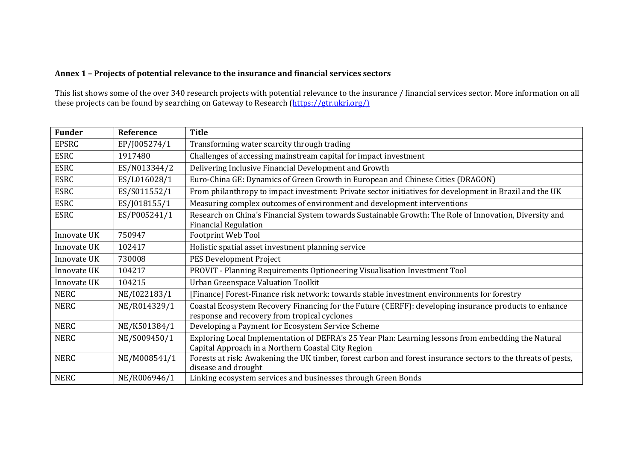# **Annex 1 – Projects of potential relevance to the insurance and financial services sectors**

This list shows some of the over 340 research projects with potential relevance to the insurance / financial services sector. More information on all these projects can be found by searching on Gateway to Research [\(https://gtr.ukri.org/\)](https://gtr.ukri.org/))

| <b>Funder</b> | Reference    | <b>Title</b>                                                                                                  |  |
|---------------|--------------|---------------------------------------------------------------------------------------------------------------|--|
| <b>EPSRC</b>  | EP/J005274/1 | Transforming water scarcity through trading                                                                   |  |
| <b>ESRC</b>   | 1917480      | Challenges of accessing mainstream capital for impact investment                                              |  |
| <b>ESRC</b>   | ES/N013344/2 | Delivering Inclusive Financial Development and Growth                                                         |  |
| <b>ESRC</b>   | ES/L016028/1 | Euro-China GE: Dynamics of Green Growth in European and Chinese Cities (DRAGON)                               |  |
| <b>ESRC</b>   | ES/S011552/1 | From philanthropy to impact investment: Private sector initiatives for development in Brazil and the UK       |  |
| <b>ESRC</b>   | ES/J018155/1 | Measuring complex outcomes of environment and development interventions                                       |  |
| <b>ESRC</b>   | ES/P005241/1 | Research on China's Financial System towards Sustainable Growth: The Role of Innovation, Diversity and        |  |
|               |              | <b>Financial Regulation</b>                                                                                   |  |
| Innovate UK   | 750947       | Footprint Web Tool                                                                                            |  |
| Innovate UK   | 102417       | Holistic spatial asset investment planning service                                                            |  |
| Innovate UK   | 730008       | PES Development Project                                                                                       |  |
| Innovate UK   | 104217       | PROVIT - Planning Requirements Optioneering Visualisation Investment Tool                                     |  |
| Innovate UK   | 104215       | Urban Greenspace Valuation Toolkit                                                                            |  |
| <b>NERC</b>   | NE/I022183/1 | [Finance] Forest-Finance risk network: towards stable investment environments for forestry                    |  |
| <b>NERC</b>   | NE/R014329/1 | Coastal Ecosystem Recovery Financing for the Future (CERFF): developing insurance products to enhance         |  |
|               |              | response and recovery from tropical cyclones                                                                  |  |
| <b>NERC</b>   | NE/K501384/1 | Developing a Payment for Ecosystem Service Scheme                                                             |  |
| <b>NERC</b>   | NE/S009450/1 | Exploring Local Implementation of DEFRA's 25 Year Plan: Learning lessons from embedding the Natural           |  |
|               |              | Capital Approach in a Northern Coastal City Region                                                            |  |
| <b>NERC</b>   | NE/M008541/1 | Forests at risk: Awakening the UK timber, forest carbon and forest insurance sectors to the threats of pests, |  |
|               |              | disease and drought                                                                                           |  |
| <b>NERC</b>   | NE/R006946/1 | Linking ecosystem services and businesses through Green Bonds                                                 |  |